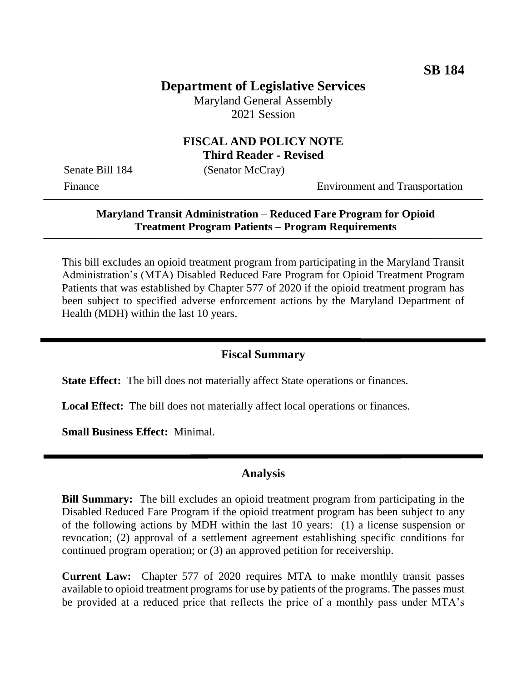# **Department of Legislative Services**

Maryland General Assembly 2021 Session

### **FISCAL AND POLICY NOTE Third Reader - Revised**

Senate Bill 184 (Senator McCray)

Finance Environment and Transportation

### **Maryland Transit Administration – Reduced Fare Program for Opioid Treatment Program Patients – Program Requirements**

This bill excludes an opioid treatment program from participating in the Maryland Transit Administration's (MTA) Disabled Reduced Fare Program for Opioid Treatment Program Patients that was established by Chapter 577 of 2020 if the opioid treatment program has been subject to specified adverse enforcement actions by the Maryland Department of Health (MDH) within the last 10 years.

#### **Fiscal Summary**

**State Effect:** The bill does not materially affect State operations or finances.

**Local Effect:** The bill does not materially affect local operations or finances.

**Small Business Effect:** Minimal.

#### **Analysis**

**Bill Summary:** The bill excludes an opioid treatment program from participating in the Disabled Reduced Fare Program if the opioid treatment program has been subject to any of the following actions by MDH within the last 10 years: (1) a license suspension or revocation; (2) approval of a settlement agreement establishing specific conditions for continued program operation; or (3) an approved petition for receivership.

**Current Law:** Chapter 577 of 2020 requires MTA to make monthly transit passes available to opioid treatment programs for use by patients of the programs. The passes must be provided at a reduced price that reflects the price of a monthly pass under MTA's